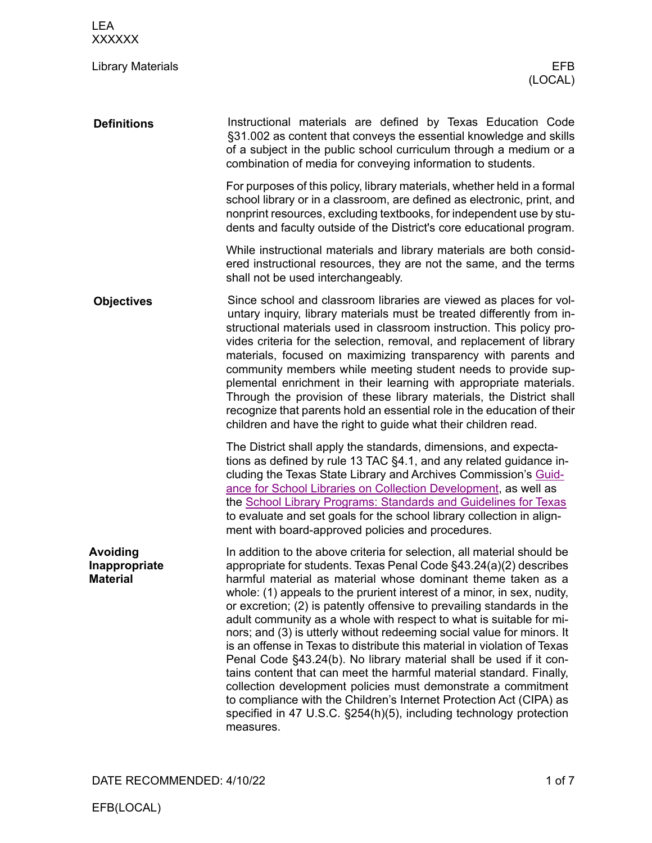| <b>LEA</b><br><b>XXXXXX</b>                  |                                                                                                                                                                                                                                                                                                                                                                                                                                                                                                                                                                                                                                                                                                                                                                                                                                                                                                                                                                        |
|----------------------------------------------|------------------------------------------------------------------------------------------------------------------------------------------------------------------------------------------------------------------------------------------------------------------------------------------------------------------------------------------------------------------------------------------------------------------------------------------------------------------------------------------------------------------------------------------------------------------------------------------------------------------------------------------------------------------------------------------------------------------------------------------------------------------------------------------------------------------------------------------------------------------------------------------------------------------------------------------------------------------------|
| <b>Library Materials</b>                     | EFB<br>(LOCAL)                                                                                                                                                                                                                                                                                                                                                                                                                                                                                                                                                                                                                                                                                                                                                                                                                                                                                                                                                         |
| <b>Definitions</b>                           | Instructional materials are defined by Texas Education Code<br>§31.002 as content that conveys the essential knowledge and skills<br>of a subject in the public school curriculum through a medium or a<br>combination of media for conveying information to students.                                                                                                                                                                                                                                                                                                                                                                                                                                                                                                                                                                                                                                                                                                 |
|                                              | For purposes of this policy, library materials, whether held in a formal<br>school library or in a classroom, are defined as electronic, print, and<br>nonprint resources, excluding textbooks, for independent use by stu-<br>dents and faculty outside of the District's core educational program.                                                                                                                                                                                                                                                                                                                                                                                                                                                                                                                                                                                                                                                                   |
|                                              | While instructional materials and library materials are both consid-<br>ered instructional resources, they are not the same, and the terms<br>shall not be used interchangeably.                                                                                                                                                                                                                                                                                                                                                                                                                                                                                                                                                                                                                                                                                                                                                                                       |
| <b>Objectives</b>                            | Since school and classroom libraries are viewed as places for vol-<br>untary inquiry, library materials must be treated differently from in-<br>structional materials used in classroom instruction. This policy pro-<br>vides criteria for the selection, removal, and replacement of library<br>materials, focused on maximizing transparency with parents and<br>community members while meeting student needs to provide sup-<br>plemental enrichment in their learning with appropriate materials.<br>Through the provision of these library materials, the District shall<br>recognize that parents hold an essential role in the education of their<br>children and have the right to guide what their children read.                                                                                                                                                                                                                                           |
|                                              | The District shall apply the standards, dimensions, and expecta-<br>tions as defined by rule 13 TAC §4.1, and any related guidance in-<br>cluding the Texas State Library and Archives Commission's Guid-<br>ance for School Libraries on Collection Development, as well as<br>the School Library Programs: Standards and Guidelines for Texas<br>to evaluate and set goals for the school library collection in align-<br>ment with board-approved policies and procedures.                                                                                                                                                                                                                                                                                                                                                                                                                                                                                          |
| Avoiding<br>Inappropriate<br><b>Material</b> | In addition to the above criteria for selection, all material should be<br>appropriate for students. Texas Penal Code §43.24(a)(2) describes<br>harmful material as material whose dominant theme taken as a<br>whole: (1) appeals to the prurient interest of a minor, in sex, nudity,<br>or excretion; (2) is patently offensive to prevailing standards in the<br>adult community as a whole with respect to what is suitable for mi-<br>nors; and (3) is utterly without redeeming social value for minors. It<br>is an offense in Texas to distribute this material in violation of Texas<br>Penal Code §43.24(b). No library material shall be used if it con-<br>tains content that can meet the harmful material standard. Finally,<br>collection development policies must demonstrate a commitment<br>to compliance with the Children's Internet Protection Act (CIPA) as<br>specified in 47 U.S.C. §254(h)(5), including technology protection<br>measures. |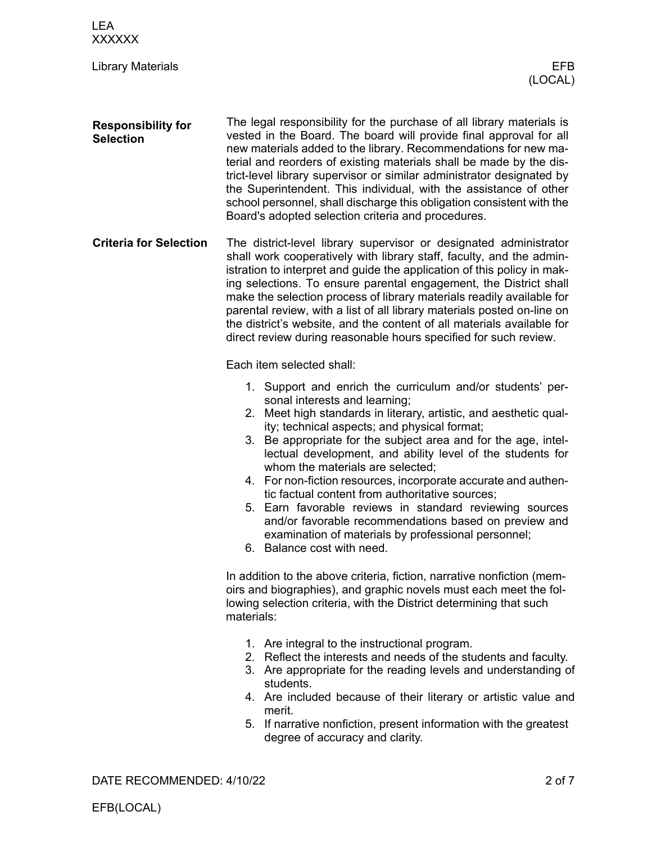| <b>LEA</b><br><b>XXXXXX</b>                   |                                                                                                                                                                                                                                                                                                                                                                                                                                                                                                                                                                                                                                                                                                                    |
|-----------------------------------------------|--------------------------------------------------------------------------------------------------------------------------------------------------------------------------------------------------------------------------------------------------------------------------------------------------------------------------------------------------------------------------------------------------------------------------------------------------------------------------------------------------------------------------------------------------------------------------------------------------------------------------------------------------------------------------------------------------------------------|
| <b>Library Materials</b>                      | EFB.<br>(LOCAL)                                                                                                                                                                                                                                                                                                                                                                                                                                                                                                                                                                                                                                                                                                    |
| <b>Responsibility for</b><br><b>Selection</b> | The legal responsibility for the purchase of all library materials is<br>vested in the Board. The board will provide final approval for all<br>new materials added to the library. Recommendations for new ma-<br>terial and reorders of existing materials shall be made by the dis-<br>trict-level library supervisor or similar administrator designated by<br>the Superintendent. This individual, with the assistance of other<br>school personnel, shall discharge this obligation consistent with the<br>Board's adopted selection criteria and procedures.                                                                                                                                                 |
| <b>Criteria for Selection</b>                 | The district-level library supervisor or designated administrator<br>shall work cooperatively with library staff, faculty, and the admin-<br>istration to interpret and guide the application of this policy in mak-<br>ing selections. To ensure parental engagement, the District shall<br>make the selection process of library materials readily available for<br>parental review, with a list of all library materials posted on-line on<br>the district's website, and the content of all materials available for<br>direct review during reasonable hours specified for such review.                                                                                                                        |
|                                               | Each item selected shall:                                                                                                                                                                                                                                                                                                                                                                                                                                                                                                                                                                                                                                                                                          |
|                                               | 1. Support and enrich the curriculum and/or students' per-<br>sonal interests and learning;<br>2. Meet high standards in literary, artistic, and aesthetic qual-<br>ity; technical aspects; and physical format;<br>3. Be appropriate for the subject area and for the age, intel-<br>lectual development, and ability level of the students for<br>whom the materials are selected;<br>4. For non-fiction resources, incorporate accurate and authen-<br>tic factual content from authoritative sources;<br>5. Earn favorable reviews in standard reviewing sources<br>and/or favorable recommendations based on preview and<br>examination of materials by professional personnel;<br>6. Balance cost with need. |
|                                               | In addition to the above criteria, fiction, narrative nonfiction (mem-<br>oirs and biographies), and graphic novels must each meet the fol-<br>lowing selection criteria, with the District determining that such<br>materials:                                                                                                                                                                                                                                                                                                                                                                                                                                                                                    |
|                                               | 1. Are integral to the instructional program.<br>2. Reflect the interests and needs of the students and faculty.<br>3. Are appropriate for the reading levels and understanding of<br>students.<br>4. Are included because of their literary or artistic value and<br>merit.<br>5. If narrative nonfiction, present information with the greatest<br>degree of accuracy and clarity.                                                                                                                                                                                                                                                                                                                               |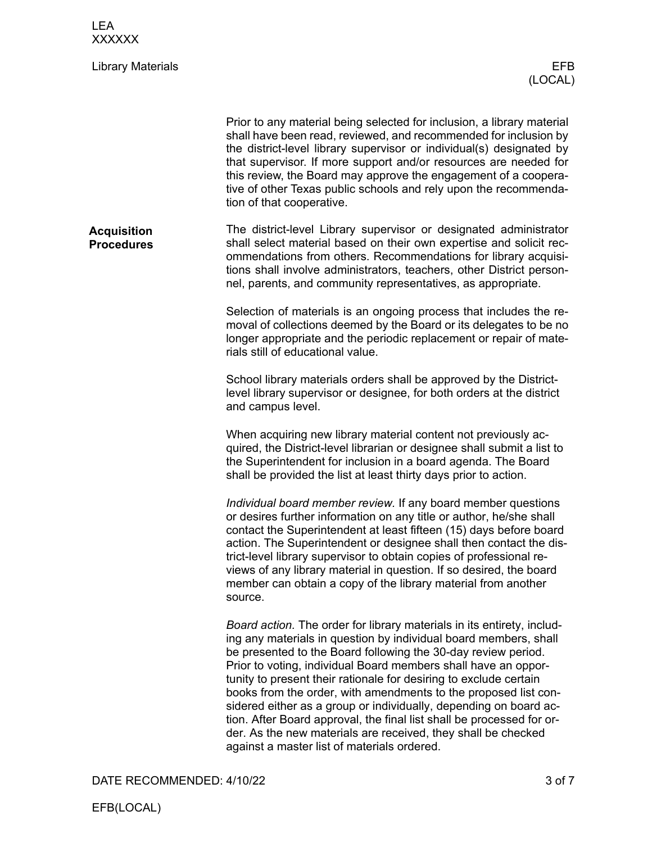| <b>LEA</b><br><b>XXXXXX</b>             |                                                                                                                                                                                                                                                                                                                                                                                                                                                                                                                                                                                                                                                                                     |
|-----------------------------------------|-------------------------------------------------------------------------------------------------------------------------------------------------------------------------------------------------------------------------------------------------------------------------------------------------------------------------------------------------------------------------------------------------------------------------------------------------------------------------------------------------------------------------------------------------------------------------------------------------------------------------------------------------------------------------------------|
| <b>Library Materials</b>                | EFB.<br>(LOCAL)                                                                                                                                                                                                                                                                                                                                                                                                                                                                                                                                                                                                                                                                     |
|                                         | Prior to any material being selected for inclusion, a library material<br>shall have been read, reviewed, and recommended for inclusion by<br>the district-level library supervisor or individual(s) designated by<br>that supervisor. If more support and/or resources are needed for<br>this review, the Board may approve the engagement of a coopera-<br>tive of other Texas public schools and rely upon the recommenda-<br>tion of that cooperative.                                                                                                                                                                                                                          |
| <b>Acquisition</b><br><b>Procedures</b> | The district-level Library supervisor or designated administrator<br>shall select material based on their own expertise and solicit rec-<br>ommendations from others. Recommendations for library acquisi-<br>tions shall involve administrators, teachers, other District person-<br>nel, parents, and community representatives, as appropriate.                                                                                                                                                                                                                                                                                                                                  |
|                                         | Selection of materials is an ongoing process that includes the re-<br>moval of collections deemed by the Board or its delegates to be no<br>longer appropriate and the periodic replacement or repair of mate-<br>rials still of educational value.                                                                                                                                                                                                                                                                                                                                                                                                                                 |
|                                         | School library materials orders shall be approved by the District-<br>level library supervisor or designee, for both orders at the district<br>and campus level.                                                                                                                                                                                                                                                                                                                                                                                                                                                                                                                    |
|                                         | When acquiring new library material content not previously ac-<br>quired, the District-level librarian or designee shall submit a list to<br>the Superintendent for inclusion in a board agenda. The Board<br>shall be provided the list at least thirty days prior to action.                                                                                                                                                                                                                                                                                                                                                                                                      |
|                                         | Individual board member review. If any board member questions<br>or desires further information on any title or author, he/she shall<br>contact the Superintendent at least fifteen (15) days before board<br>action. The Superintendent or designee shall then contact the dis-<br>trict-level library supervisor to obtain copies of professional re-<br>views of any library material in question. If so desired, the board<br>member can obtain a copy of the library material from another<br>source.                                                                                                                                                                          |
|                                         | Board action. The order for library materials in its entirety, includ-<br>ing any materials in question by individual board members, shall<br>be presented to the Board following the 30-day review period.<br>Prior to voting, individual Board members shall have an oppor-<br>tunity to present their rationale for desiring to exclude certain<br>books from the order, with amendments to the proposed list con-<br>sidered either as a group or individually, depending on board ac-<br>tion. After Board approval, the final list shall be processed for or-<br>der. As the new materials are received, they shall be checked<br>against a master list of materials ordered. |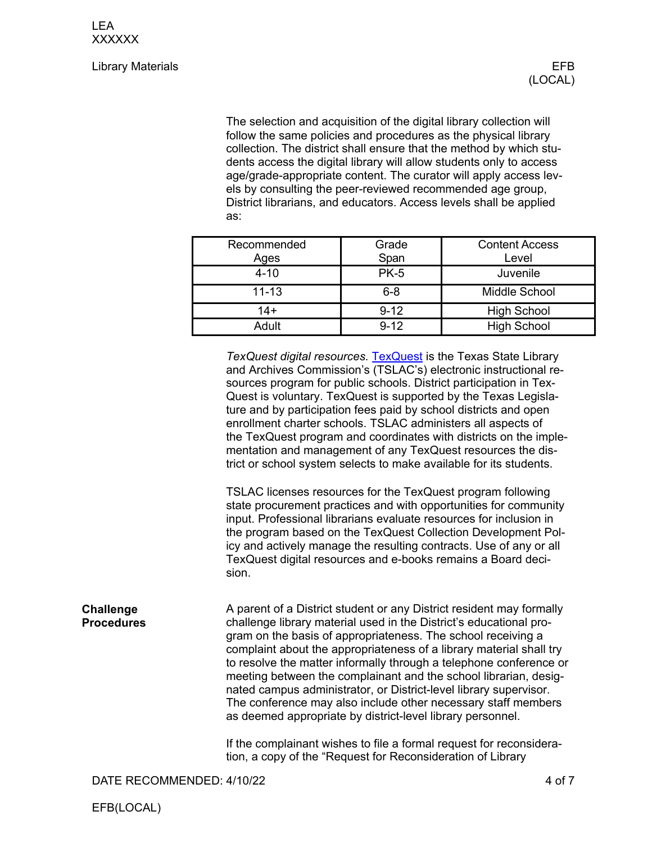## Library Materials EFB

The selection and acquisition of the digital library collection will follow the same policies and procedures as the physical library collection. The district shall ensure that the method by which students access the digital library will allow students only to access age/grade-appropriate content. The curator will apply access levels by consulting the peer-reviewed recommended age group, District librarians, and educators. Access levels shall be applied as:

| Recommended<br>Ages | Grade<br>Span | <b>Content Access</b><br>Level |
|---------------------|---------------|--------------------------------|
| $4 - 10$            | <b>PK-5</b>   | Juvenile                       |
| $11 - 13$           | $6 - 8$       | Middle School                  |
| $14+$               | $9 - 12$      | <b>High School</b>             |
| Adult               | $9 - 12$      | <b>High School</b>             |

*TexQuest digital resources.* [TexQuest](https://texquest.net/welcome/program) is the Texas State Library and Archives Commission's (TSLAC's) electronic instructional resources program for public schools. District participation in Tex-Quest is voluntary. TexQuest is supported by the Texas Legislature and by participation fees paid by school districts and open enrollment charter schools. TSLAC administers all aspects of the TexQuest program and coordinates with districts on the implementation and management of any TexQuest resources the district or school system selects to make available for its students.

TSLAC licenses resources for the TexQuest program following state procurement practices and with opportunities for community input. Professional librarians evaluate resources for inclusion in the program based on the TexQuest Collection Development Policy and actively manage the resulting contracts. Use of any or all TexQuest digital resources and e-books remains a Board decision.

A parent of a District student or any District resident may formally challenge library material used in the District's educational program on the basis of appropriateness. The school receiving a complaint about the appropriateness of a library material shall try to resolve the matter informally through a telephone conference or meeting between the complainant and the school librarian, designated campus administrator, or District-level library supervisor. The conference may also include other necessary staff members as deemed appropriate by district-level library personnel. **Challenge Procedures**

> If the complainant wishes to file a formal request for reconsideration, a copy of the "Request for Reconsideration of Library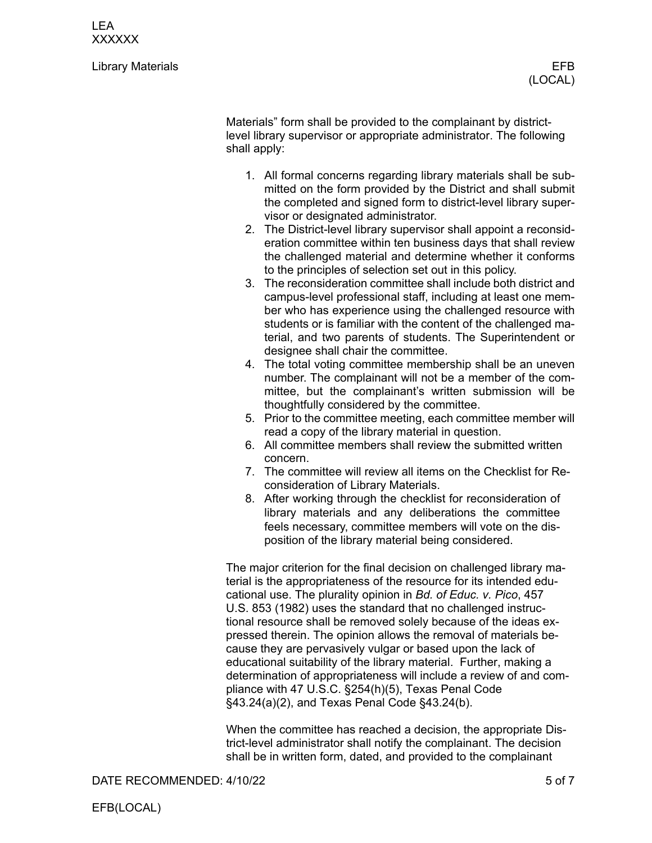LEA XXXXXX

Library Materials EFB

Materials" form shall be provided to the complainant by districtlevel library supervisor or appropriate administrator. The following shall apply:

- 1. All formal concerns regarding library materials shall be submitted on the form provided by the District and shall submit the completed and signed form to district-level library supervisor or designated administrator.
- 2. The District-level library supervisor shall appoint a reconsideration committee within ten business days that shall review the challenged material and determine whether it conforms to the principles of selection set out in this policy.
- 3. The reconsideration committee shall include both district and campus-level professional staff, including at least one member who has experience using the challenged resource with students or is familiar with the content of the challenged material, and two parents of students. The Superintendent or designee shall chair the committee.
- 4. The total voting committee membership shall be an uneven number. The complainant will not be a member of the committee, but the complainant's written submission will be thoughtfully considered by the committee.
- 5. Prior to the committee meeting, each committee member will read a copy of the library material in question.
- 6. All committee members shall review the submitted written concern.
- 7. The committee will review all items on the Checklist for Reconsideration of Library Materials.
- 8. After working through the checklist for reconsideration of library materials and any deliberations the committee feels necessary, committee members will vote on the disposition of the library material being considered.

The major criterion for the final decision on challenged library material is the appropriateness of the resource for its intended educational use. The plurality opinion in *Bd. of Educ. v. Pico*, 457 U.S. 853 (1982) uses the standard that no challenged instructional resource shall be removed solely because of the ideas expressed therein. The opinion allows the removal of materials because they are pervasively vulgar or based upon the lack of educational suitability of the library material. Further, making a determination of appropriateness will include a review of and compliance with 47 U.S.C. §254(h)(5), Texas Penal Code §43.24(a)(2), and Texas Penal Code §43.24(b).

When the committee has reached a decision, the appropriate District-level administrator shall notify the complainant. The decision shall be in written form, dated, and provided to the complainant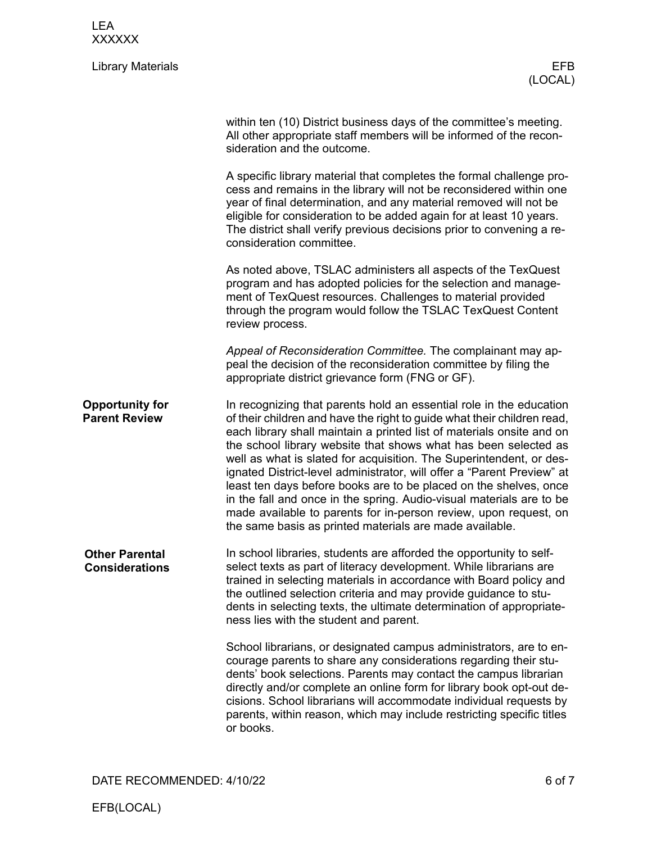| <b>LEA</b><br><b>XXXXXX</b>                    |                                                                                                                                                                                                                                                                                                                                                                                                                                                                                                                                                                                                                                                                                                                         |
|------------------------------------------------|-------------------------------------------------------------------------------------------------------------------------------------------------------------------------------------------------------------------------------------------------------------------------------------------------------------------------------------------------------------------------------------------------------------------------------------------------------------------------------------------------------------------------------------------------------------------------------------------------------------------------------------------------------------------------------------------------------------------------|
| <b>Library Materials</b>                       | <b>EFB</b><br>(LOCAL)                                                                                                                                                                                                                                                                                                                                                                                                                                                                                                                                                                                                                                                                                                   |
|                                                | within ten (10) District business days of the committee's meeting.<br>All other appropriate staff members will be informed of the recon-<br>sideration and the outcome.                                                                                                                                                                                                                                                                                                                                                                                                                                                                                                                                                 |
|                                                | A specific library material that completes the formal challenge pro-<br>cess and remains in the library will not be reconsidered within one<br>year of final determination, and any material removed will not be<br>eligible for consideration to be added again for at least 10 years.<br>The district shall verify previous decisions prior to convening a re-<br>consideration committee.                                                                                                                                                                                                                                                                                                                            |
|                                                | As noted above, TSLAC administers all aspects of the TexQuest<br>program and has adopted policies for the selection and manage-<br>ment of TexQuest resources. Challenges to material provided<br>through the program would follow the TSLAC TexQuest Content<br>review process.                                                                                                                                                                                                                                                                                                                                                                                                                                        |
|                                                | Appeal of Reconsideration Committee. The complainant may ap-<br>peal the decision of the reconsideration committee by filing the<br>appropriate district grievance form (FNG or GF).                                                                                                                                                                                                                                                                                                                                                                                                                                                                                                                                    |
| <b>Opportunity for</b><br><b>Parent Review</b> | In recognizing that parents hold an essential role in the education<br>of their children and have the right to guide what their children read,<br>each library shall maintain a printed list of materials onsite and on<br>the school library website that shows what has been selected as<br>well as what is slated for acquisition. The Superintendent, or des-<br>ignated District-level administrator, will offer a "Parent Preview" at<br>least ten days before books are to be placed on the shelves, once<br>in the fall and once in the spring. Audio-visual materials are to be<br>made available to parents for in-person review, upon request, on<br>the same basis as printed materials are made available. |
| <b>Other Parental</b><br><b>Considerations</b> | In school libraries, students are afforded the opportunity to self-<br>select texts as part of literacy development. While librarians are<br>trained in selecting materials in accordance with Board policy and<br>the outlined selection criteria and may provide guidance to stu-<br>dents in selecting texts, the ultimate determination of appropriate-<br>ness lies with the student and parent.                                                                                                                                                                                                                                                                                                                   |
|                                                | School librarians, or designated campus administrators, are to en-<br>courage parents to share any considerations regarding their stu-<br>dents' book selections. Parents may contact the campus librarian<br>directly and/or complete an online form for library book opt-out de-<br>cisions. School librarians will accommodate individual requests by<br>parents, within reason, which may include restricting specific titles<br>or books.                                                                                                                                                                                                                                                                          |